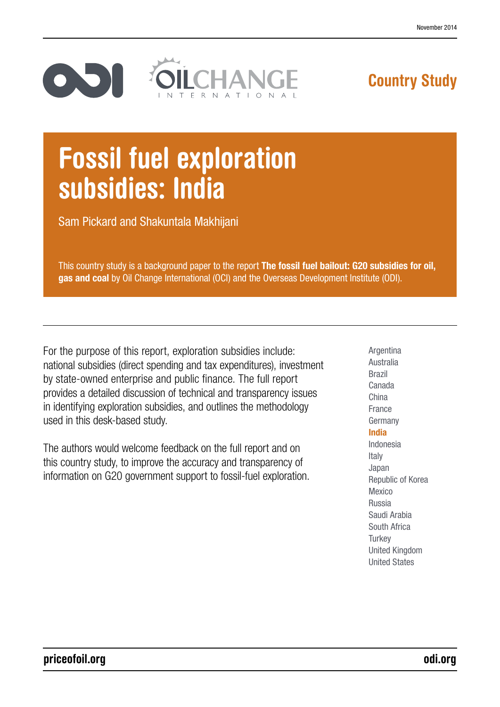

# Country Study

# Fossil fuel exploration subsidies: India

Sam Pickard and Shakuntala Makhijani

This country study is a background paper to the report The fossil fuel bailout: G20 subsidies for oil, gas and coal by Oil Change International (OCI) and the Overseas Development Institute (ODI).

For the purpose of this report, exploration subsidies include: national subsidies (direct spending and tax expenditures), investment by state-owned enterprise and public finance. The full report provides a detailed discussion of technical and transparency issues in identifying exploration subsidies, and outlines the methodology used in this desk-based study.

The authors would welcome feedback on the full report and on this country study, to improve the accuracy and transparency of information on G20 government support to fossil-fuel exploration. Argentina Australia Brazil Canada China France **Germany** India Indonesia Italy Japan Republic of Korea Mexico Russia Saudi Arabia South Africa **Turkey** United Kingdom United States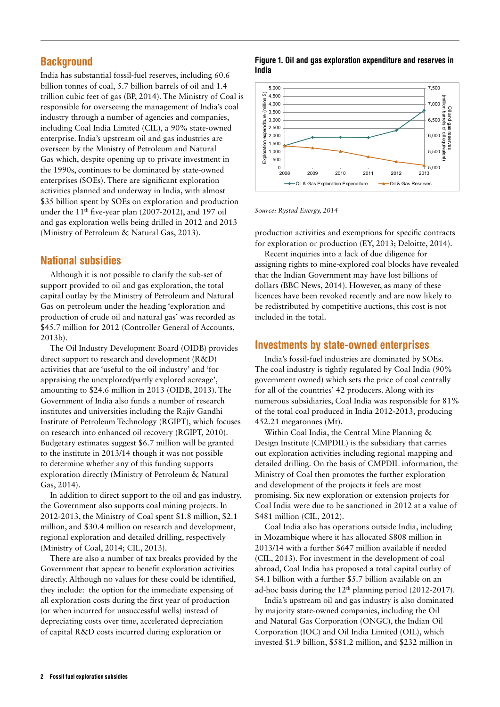## **Background**

India has substantial fossil-fuel reserves, including 60.6 billion tonnes of coal, 5.7 billion barrels of oil and 1.4 trillion cubic feet of gas (BP, 2014). The Ministry of Coal is responsible for overseeing the management of India's coal industry through a number of agencies and companies, including Coal India Limited (CIL), a 90% state-owned enterprise. India's upstream oil and gas industries are overseen by the Ministry of Petroleum and Natural Gas which, despite opening up to private investment in the 1990s, continues to be dominated by state-owned enterprises (SOEs). There are significant exploration activities planned and underway in India, with almost \$35 billion spent by SOEs on exploration and production under the  $11<sup>th</sup>$  five-year plan (2007-2012), and 197 oil and gas exploration wells being drilled in 2012 and 2013 (Ministry of Petroleum & Natural Gas, 2013).

## National subsidies

Although it is not possible to clarify the sub-set of support provided to oil and gas exploration, the total capital outlay by the Ministry of Petroleum and Natural Gas on petroleum under the heading 'exploration and production of crude oil and natural gas' was recorded as \$45.7 million for 2012 (Controller General of Accounts, 2013b).

The Oil Industry Development Board (OIDB) provides direct support to research and development (R&D) activities that are 'useful to the oil industry' and 'for appraising the unexplored/partly explored acreage', amounting to \$24.6 million in 2013 (OIDB, 2013). The Government of India also funds a number of research institutes and universities including the Rajiv Gandhi Institute of Petroleum Technology (RGIPT), which focuses on research into enhanced oil recovery (RGIPT, 2010). Budgetary estimates suggest \$6.7 million will be granted to the institute in 2013/14 though it was not possible to determine whether any of this funding supports exploration directly (Ministry of Petroleum & Natural Gas, 2014).

In addition to direct support to the oil and gas industry, the Government also supports coal mining projects. In 2012-2013, the Ministry of Coal spent \$1.8 million, \$2.1 million, and \$30.4 million on research and development, regional exploration and detailed drilling, respectively (Ministry of Coal, 2014; CIL, 2013).

There are also a number of tax breaks provided by the Government that appear to benefit exploration activities directly. Although no values for these could be identified, they include: the option for the immediate expensing of all exploration costs during the first year of production (or when incurred for unsuccessful wells) instead of depreciating costs over time, accelerated depreciation of capital R&D costs incurred during exploration or

#### Figure 1. Oil and gas exploration expenditure and reserves in India



*Source: Rystad Energy, 2014*

production activities and exemptions for specific contracts for exploration or production (EY, 2013; Deloitte, 2014).

Recent inquiries into a lack of due diligence for assigning rights to mine-explored coal blocks have revealed that the Indian Government may have lost billions of dollars (BBC News, 2014). However, as many of these licences have been revoked recently and are now likely to be redistributed by competitive auctions, this cost is not included in the total.

## Investments by state-owned enterprises

India's fossil-fuel industries are dominated by SOEs. The coal industry is tightly regulated by Coal India (90% government owned) which sets the price of coal centrally for all of the countries' 42 producers. Along with its numerous subsidiaries, Coal India was responsible for 81% of the total coal produced in India 2012-2013, producing 452.21 megatonnes (Mt).

Within Coal India, the Central Mine Planning & Design Institute (CMPDIL) is the subsidiary that carries out exploration activities including regional mapping and detailed drilling. On the basis of CMPDIL information, the Ministry of Coal then promotes the further exploration and development of the projects it feels are most promising. Six new exploration or extension projects for Coal India were due to be sanctioned in 2012 at a value of \$481 million (CIL, 2012).

Coal India also has operations outside India, including in Mozambique where it has allocated \$808 million in 2013/14 with a further \$647 million available if needed (CIL, 2013). For investment in the development of coal abroad, Coal India has proposed a total capital outlay of \$4.1 billion with a further \$5.7 billion available on an ad-hoc basis during the  $12<sup>th</sup>$  planning period (2012-2017).

India's upstream oil and gas industry is also dominated by majority state-owned companies, including the Oil and Natural Gas Corporation (ONGC), the Indian Oil Corporation (IOC) and Oil India Limited (OIL), which invested \$1.9 billion, \$581.2 million, and \$232 million in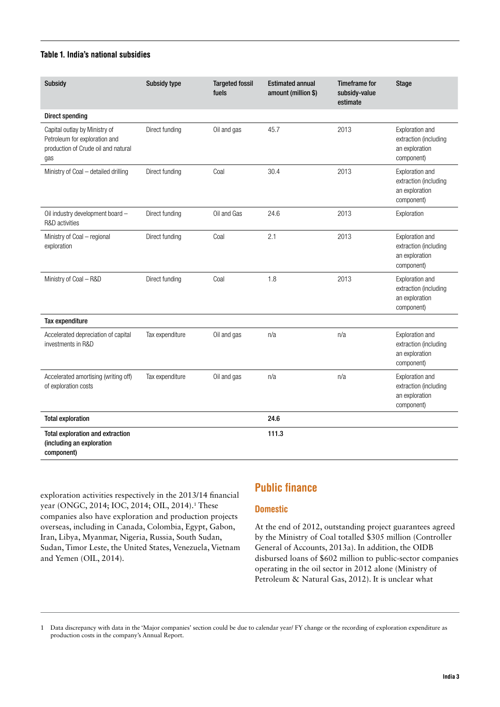#### Table 1. India's national subsidies

| <b>Subsidy</b>                                                                                               | <b>Subsidy type</b> | <b>Targeted fossil</b><br>fuels | <b>Estimated annual</b><br>amount (million \$) | <b>Timeframe for</b><br>subsidy-value<br>estimate | <b>Stage</b>                                                             |
|--------------------------------------------------------------------------------------------------------------|---------------------|---------------------------------|------------------------------------------------|---------------------------------------------------|--------------------------------------------------------------------------|
| <b>Direct spending</b>                                                                                       |                     |                                 |                                                |                                                   |                                                                          |
| Capital outlay by Ministry of<br>Petroleum for exploration and<br>production of Crude oil and natural<br>gas | Direct funding      | Oil and gas                     | 45.7                                           | 2013                                              | Exploration and<br>extraction (including<br>an exploration<br>component) |
| Ministry of Coal - detailed drilling                                                                         | Direct funding      | Coal                            | 30.4                                           | 2013                                              | Exploration and<br>extraction (including<br>an exploration<br>component) |
| Oil industry development board -<br>R&D activities                                                           | Direct funding      | Oil and Gas                     | 24.6                                           | 2013                                              | Exploration                                                              |
| Ministry of Coal - regional<br>exploration                                                                   | Direct funding      | Coal                            | 2.1                                            | 2013                                              | Exploration and<br>extraction (including<br>an exploration<br>component) |
| Ministry of Coal - R&D                                                                                       | Direct funding      | Coal                            | 1.8                                            | 2013                                              | Exploration and<br>extraction (including<br>an exploration<br>component) |
| Tax expenditure                                                                                              |                     |                                 |                                                |                                                   |                                                                          |
| Accelerated depreciation of capital<br>investments in R&D                                                    | Tax expenditure     | Oil and gas                     | n/a                                            | n/a                                               | Exploration and<br>extraction (including<br>an exploration<br>component) |
| Accelerated amortising (writing off)<br>of exploration costs                                                 | Tax expenditure     | Oil and gas                     | n/a                                            | n/a                                               | Exploration and<br>extraction (including<br>an exploration<br>component) |
| <b>Total exploration</b>                                                                                     |                     |                                 | 24.6                                           |                                                   |                                                                          |
| Total exploration and extraction<br>(including an exploration<br>component)                                  |                     |                                 | 111.3                                          |                                                   |                                                                          |

exploration activities respectively in the 2013/14 financial year (ONGC, 2014; IOC, 2014; OIL, 2014).<sup>1</sup> These companies also have exploration and production projects overseas, including in Canada, Colombia, Egypt, Gabon, Iran, Libya, Myanmar, Nigeria, Russia, South Sudan, Sudan, Timor Leste, the United States, Venezuela, Vietnam and Yemen (OIL, 2014).

# Public finance

#### **Domestic**

At the end of 2012, outstanding project guarantees agreed by the Ministry of Coal totalled \$305 million (Controller General of Accounts, 2013a). In addition, the OIDB disbursed loans of \$602 million to public-sector companies operating in the oil sector in 2012 alone (Ministry of Petroleum & Natural Gas, 2012). It is unclear what

1 Data discrepancy with data in the 'Major companies' section could be due to calendar year/ FY change or the recording of exploration expenditure as production costs in the company's Annual Report.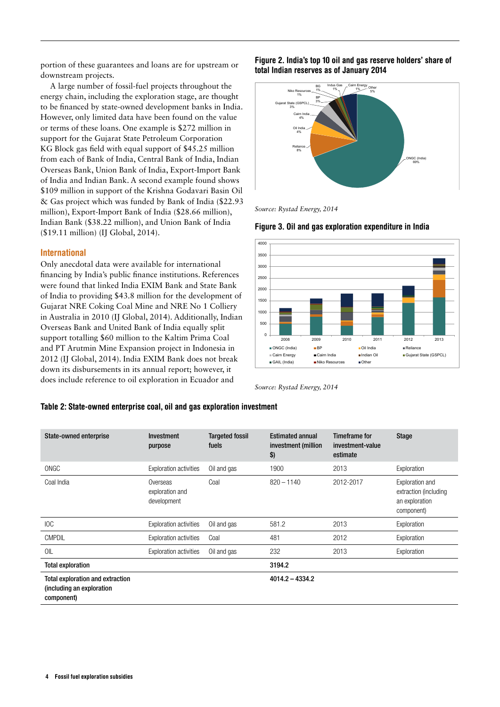portion of these guarantees and loans are for upstream or downstream projects.

A large number of fossil-fuel projects throughout the energy chain, including the exploration stage, are thought to be financed by state-owned development banks in India. However, only limited data have been found on the value or terms of these loans. One example is \$272 million in support for the Gujarat State Petroleum Corporation KG Block gas field with equal support of \$45.25 million from each of Bank of India, Central Bank of India, Indian Overseas Bank, Union Bank of India, Export-Import Bank of India and Indian Bank. A second example found shows \$109 million in support of the Krishna Godavari Basin Oil & Gas project which was funded by Bank of India (\$22.93 million), Export-Import Bank of India (\$28.66 million), Indian Bank (\$38.22 million), and Union Bank of India (\$19.11 million) (IJ Global, 2014).

#### International

Only anecdotal data were available for international financing by India's public finance institutions. References were found that linked India EXIM Bank and State Bank of India to providing \$43.8 million for the development of Gujarat NRE Coking Coal Mine and NRE No 1 Colliery in Australia in 2010 (IJ Global, 2014). Additionally, Indian Overseas Bank and United Bank of India equally split support totalling \$60 million to the Kaltim Prima Coal and PT Arutmin Mine Expansion project in Indonesia in 2012 (IJ Global, 2014). India EXIM Bank does not break down its disbursements in its annual report; however, it does include reference to oil exploration in Ecuador and

Figure 2. India's top 10 oil and gas reserve holders' share of total Indian reserves as of January 2014



*Source: Rystad Energy, 2014*





*Source: Rystad Energy, 2014*

#### Table 2: State-owned enterprise coal, oil and gas exploration investment

| State-owned enterprise                                                      | <b>Investment</b><br>purpose               | <b>Targeted fossil</b><br>fuels | <b>Estimated annual</b><br>investment (million<br>$\boldsymbol{\$}$ | <b>Timeframe for</b><br>investment-value<br>estimate | <b>Stage</b>                                                             |
|-----------------------------------------------------------------------------|--------------------------------------------|---------------------------------|---------------------------------------------------------------------|------------------------------------------------------|--------------------------------------------------------------------------|
| ONGC                                                                        | <b>Exploration activities</b>              | Oil and gas                     | 1900                                                                | 2013                                                 | Exploration                                                              |
| Coal India                                                                  | Overseas<br>exploration and<br>development | Coal                            | $820 - 1140$                                                        | 2012-2017                                            | Exploration and<br>extraction (including<br>an exploration<br>component) |
| IOC                                                                         | <b>Exploration activities</b>              | Oil and gas                     | 581.2                                                               | 2013                                                 | Exploration                                                              |
| <b>CMPDIL</b>                                                               | <b>Exploration activities</b>              | Coal                            | 481                                                                 | 2012                                                 | Exploration                                                              |
| OIL                                                                         | <b>Exploration activities</b>              | Oil and gas                     | 232                                                                 | 2013                                                 | Exploration                                                              |
| <b>Total exploration</b>                                                    |                                            |                                 | 3194.2                                                              |                                                      |                                                                          |
| Total exploration and extraction<br>(including an exploration<br>component) |                                            |                                 | $4014.2 - 4334.2$                                                   |                                                      |                                                                          |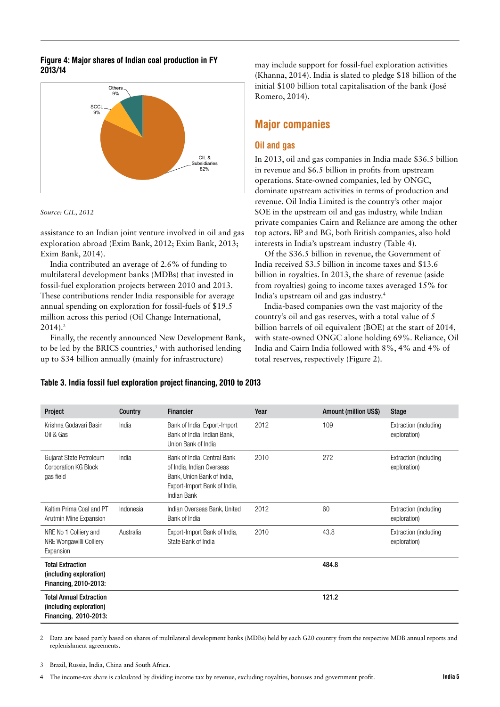#### Figure 4: Major shares of Indian coal production in FY 2013/14



*Source: CIL, 2012*

assistance to an Indian joint venture involved in oil and gas exploration abroad (Exim Bank, 2012; Exim Bank, 2013; Exim Bank, 2014).

India contributed an average of 2.6% of funding to multilateral development banks (MDBs) that invested in fossil-fuel exploration projects between 2010 and 2013. These contributions render India responsible for average annual spending on exploration for fossil-fuels of \$19.5 million across this period (Oil Change International,  $2014$ .<sup>2</sup>

Finally, the recently announced New Development Bank, to be led by the BRICS countries,<sup>3</sup> with authorised lending up to \$34 billion annually (mainly for infrastructure)

may include support for fossil-fuel exploration activities (Khanna, 2014). India is slated to pledge \$18 billion of the initial \$100 billion total capitalisation of the bank (José Romero, 2014).

# Major companies

#### Oil and gas

In 2013, oil and gas companies in India made \$36.5 billion in revenue and \$6.5 billion in profits from upstream operations. State-owned companies, led by ONGC, dominate upstream activities in terms of production and revenue. Oil India Limited is the country's other major SOE in the upstream oil and gas industry, while Indian private companies Cairn and Reliance are among the other top actors. BP and BG, both British companies, also hold interests in India's upstream industry (Table 4).

Of the \$36.5 billion in revenue, the Government of India received \$3.5 billion in income taxes and \$13.6 billion in royalties. In 2013, the share of revenue (aside from royalties) going to income taxes averaged 15% for India's upstream oil and gas industry.4

India-based companies own the vast majority of the country's oil and gas reserves, with a total value of 5 billion barrels of oil equivalent (BOE) at the start of 2014, with state-owned ONGC alone holding 69%. Reliance, Oil India and Cairn India followed with 8%, 4% and 4% of total reserves, respectively (Figure 2).

| Project                                                                            | Country   | <b>Financier</b>                                                                                                                      | Year | <b>Amount (million US\$)</b> | <b>Stage</b>                          |
|------------------------------------------------------------------------------------|-----------|---------------------------------------------------------------------------------------------------------------------------------------|------|------------------------------|---------------------------------------|
| Krishna Godavari Basin<br>Oil & Gas                                                | India     | Bank of India, Export-Import<br>Bank of India, Indian Bank,<br>Union Bank of India                                                    | 2012 | 109                          | Extraction (including<br>exploration) |
| Gujarat State Petroleum<br><b>Corporation KG Block</b><br>gas field                | India     | Bank of India, Central Bank<br>of India, Indian Overseas<br>Bank, Union Bank of India,<br>Export-Import Bank of India,<br>Indian Bank | 2010 | 272                          | Extraction (including<br>exploration) |
| Kaltim Prima Coal and PT<br>Arutmin Mine Expansion                                 | Indonesia | Indian Overseas Bank, United<br>Bank of India                                                                                         | 2012 | 60                           | Extraction (including<br>exploration) |
| NRE No 1 Colliery and<br>NRE Wongawilli Colliery<br>Expansion                      | Australia | Export-Import Bank of India,<br>State Bank of India                                                                                   | 2010 | 43.8                         | Extraction (including<br>exploration) |
| <b>Total Extraction</b><br>(including exploration)<br>Financing, 2010-2013:        |           |                                                                                                                                       |      | 484.8                        |                                       |
| <b>Total Annual Extraction</b><br>(including exploration)<br>Financing, 2010-2013: |           |                                                                                                                                       |      | 121.2                        |                                       |

#### Table 3. India fossil fuel exploration project financing, 2010 to 2013

2 Data are based partly based on shares of multilateral development banks (MDBs) held by each G20 country from the respective MDB annual reports and replenishment agreements.

3 Brazil, Russia, India, China and South Africa.

4 The income-tax share is calculated by dividing income tax by revenue, excluding royalties, bonuses and government profit.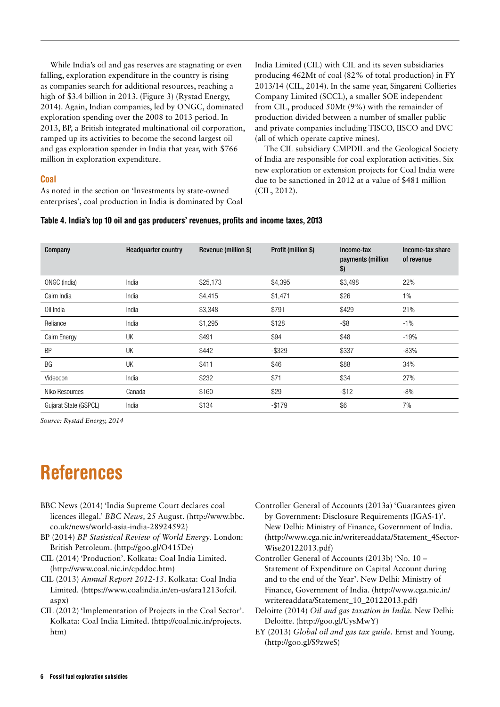While India's oil and gas reserves are stagnating or even falling, exploration expenditure in the country is rising as companies search for additional resources, reaching a high of \$3.4 billion in 2013. (Figure 3) (Rystad Energy, 2014). Again, Indian companies, led by ONGC, dominated exploration spending over the 2008 to 2013 period. In 2013, BP, a British integrated multinational oil corporation, ramped up its activities to become the second largest oil and gas exploration spender in India that year, with \$766 million in exploration expenditure.

#### **Coal**

As noted in the section on 'Investments by state-owned enterprises', coal production in India is dominated by Coal India Limited (CIL) with CIL and its seven subsidiaries producing 462Mt of coal (82% of total production) in FY 2013/14 (CIL, 2014). In the same year, Singareni Collieries Company Limited (SCCL), a smaller SOE independent from CIL, produced 50Mt (9%) with the remainder of production divided between a number of smaller public and private companies including TISCO, IISCO and DVC (all of which operate captive mines).

The CIL subsidiary CMPDIL and the Geological Society of India are responsible for coal exploration activities. Six new exploration or extension projects for Coal India were due to be sanctioned in 2012 at a value of \$481 million (CIL, 2012).

#### Table 4. India's top 10 oil and gas producers' revenues, profits and income taxes, 2013

| Company               | <b>Headquarter country</b> | Revenue (million \$) | Profit (million \$) | Income-tax<br>payments (million<br>$\boldsymbol{\$}$ | Income-tax share<br>of revenue |
|-----------------------|----------------------------|----------------------|---------------------|------------------------------------------------------|--------------------------------|
| ONGC (India)          | India                      | \$25,173             | \$4,395             | \$3,498                                              | 22%                            |
| Cairn India           | India                      | \$4,415              | \$1,471             | \$26                                                 | $1\%$                          |
| Oil India             | India                      | \$3,348              | \$791               | \$429                                                | 21%                            |
| Reliance              | India                      | \$1,295              | \$128               | $-$ \$8                                              | $-1\%$                         |
| Cairn Energy          | UK                         | \$491                | \$94                | \$48                                                 | $-19%$                         |
| <b>BP</b>             | UK                         | \$442                | $-$ \$329           | \$337                                                | $-83%$                         |
| BG                    | UK                         | \$411                | \$46                | \$88                                                 | 34%                            |
| Videocon              | India                      | \$232                | \$71                | \$34                                                 | 27%                            |
| Niko Resources        | Canada                     | \$160                | \$29                | $-$ \$12                                             | $-8%$                          |
| Gujarat State (GSPCL) | India                      | \$134                | $-$ \$179           | \$6                                                  | 7%                             |

*Source: Rystad Energy, 2014*

# References

- BBC News (2014) 'India Supreme Court declares coal licences illegal.' *BBC News,* 25 August. [\(http://www.bbc.](http://www.bbc.co.uk/news/world-asia-india-28924592) [co.uk/news/world-asia-india-28924592\)](http://www.bbc.co.uk/news/world-asia-india-28924592)
- BP (2014) *BP Statistical Review of World Energy*. London: British Petroleum. [\(http://goo.gl/O415De](http://goo.gl/O415De))
- CIL (2014) 'Production'. Kolkata: Coal India Limited. (<http://www.coal.nic.in/cpddoc.htm>)
- CIL (2013) *Annual Report 2012-13*. Kolkata: Coal India Limited. ([https://www.coalindia.in/en-us/ara1213ofcil.](https://www.coalindia.in/en-us/ara1213ofcil.aspx) [aspx\)](https://www.coalindia.in/en-us/ara1213ofcil.aspx)
- CIL (2012) 'Implementation of Projects in the Coal Sector'. Kolkata: Coal India Limited. [\(http://coal.nic.in/projects.](http://coal.nic.in/projects.htm) [htm](http://coal.nic.in/projects.htm))
- Controller General of Accounts (2013a) 'Guarantees given by Government: Disclosure Requirements (IGAS-1)'. New Delhi: Ministry of Finance, Government of India. [\(http://www.cga.nic.in/writereaddata/Statement\\_4Sector-](http://www.cga.nic.in/writereaddata/Statement_4Sector-Wise20122013.pdf)[Wise20122013.pdf\)](http://www.cga.nic.in/writereaddata/Statement_4Sector-Wise20122013.pdf)
- Controller General of Accounts (2013b) 'No. 10 Statement of Expenditure on Capital Account during and to the end of the Year'. New Delhi: Ministry of Finance, Government of India. ([http://www.cga.nic.in/](http://www.cga.nic.in/writereaddata/Statement_10_20122013.pdf) [writereaddata/Statement\\_10\\_20122013.pdf](http://www.cga.nic.in/writereaddata/Statement_10_20122013.pdf))
- Deloitte (2014) *Oil and gas taxation in India.* New Delhi: Deloitte. ([http://goo.gl/UysMwY\)](http://goo.gl/UysMwY)
- EY (2013) *Global oil and gas tax guide.* Ernst and Young. [\(http://goo.gl/S9zweS\)](http://www.ey.com/Publication/vwLUAssets/2013_global_oil_and_gas_tax_guide/$FILE/EY_Oil_and_Gas_2013.pdf)